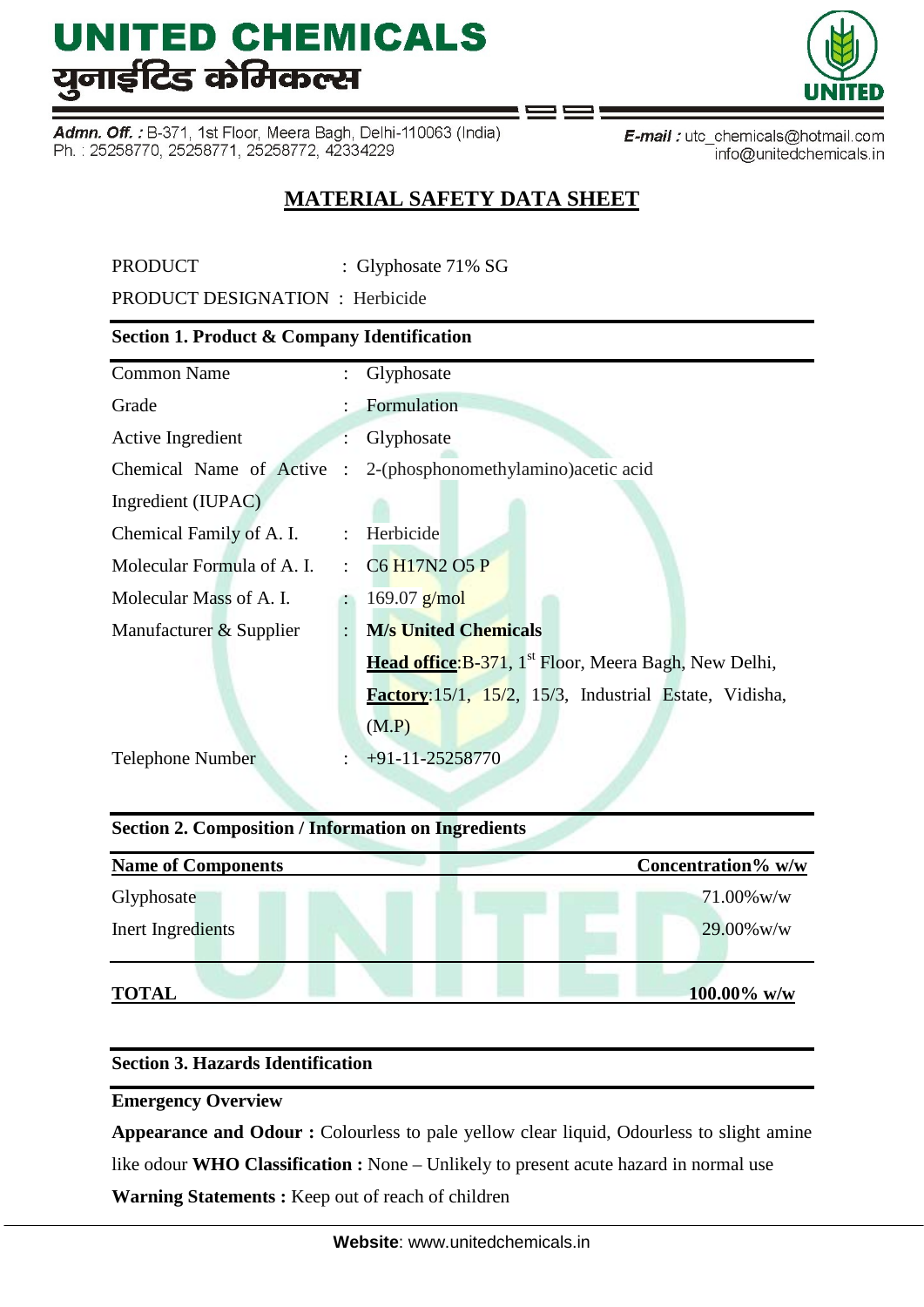Admn. Off. : B-371, 1st Floor, Meera Bagh, Delhi-110063 (India) Ph.: 25258770, 25258771, 25258772, 42334229

E-mail: utc\_chemicals@hotmail.com info@unitedchemicals.in

### **MATERIAL SAFETY DATA SHEET**

PRODUCT : Glyphosate 71% SG

PRODUCT DESIGNATION : Herbicide

### **Section 1. Product & Company Identification**

| <b>Common Name</b>         | $\ddot{\phantom{a}}$ | Glyphosate                                                        |  |  |
|----------------------------|----------------------|-------------------------------------------------------------------|--|--|
| Grade                      |                      | Formulation                                                       |  |  |
| Active Ingredient          |                      | Glyphosate                                                        |  |  |
| Chemical Name of Active :  |                      | 2-(phosphonomethylamino) acetic acid                              |  |  |
| Ingredient (IUPAC)         |                      |                                                                   |  |  |
| Chemical Family of A. I.   | $\ddot{\cdot}$       | Herbicide                                                         |  |  |
| Molecular Formula of A. I. |                      | $\therefore$ C6 H17N2 O5 P                                        |  |  |
| Molecular Mass of A. I.    |                      | $169.07$ g/mol                                                    |  |  |
| Manufacturer & Supplier    | $\ddot{\cdot}$       | <b>M/s United Chemicals</b>                                       |  |  |
|                            |                      | Head office: B-371, 1 <sup>st</sup> Floor, Meera Bagh, New Delhi, |  |  |
|                            |                      | Factory: 15/1, 15/2, 15/3, Industrial Estate, Vidisha,            |  |  |
|                            |                      | (M.P)                                                             |  |  |
| <b>Telephone Number</b>    |                      | $+91-11-25258770$                                                 |  |  |
|                            |                      |                                                                   |  |  |

#### **Section 2. Composition / Information on Ingredients**

| <b>Name of Components</b> | Concentration% w/w |
|---------------------------|--------------------|
| Glyphosate                | $71.00\%$ w/w      |
| Inert Ingredients         | $29.00\%$ w/w      |
| <b>TOTAL</b>              | 100.00% w/w        |

#### **Section 3. Hazards Identification**

**Emergency Overview** 

**Appearance and Odour :** Colourless to pale yellow clear liquid, Odourless to slight amine like odour **WHO Classification :** None – Unlikely to present acute hazard in normal use **Warning Statements :** Keep out of reach of children

**Website**: www.unitedchemicals.in

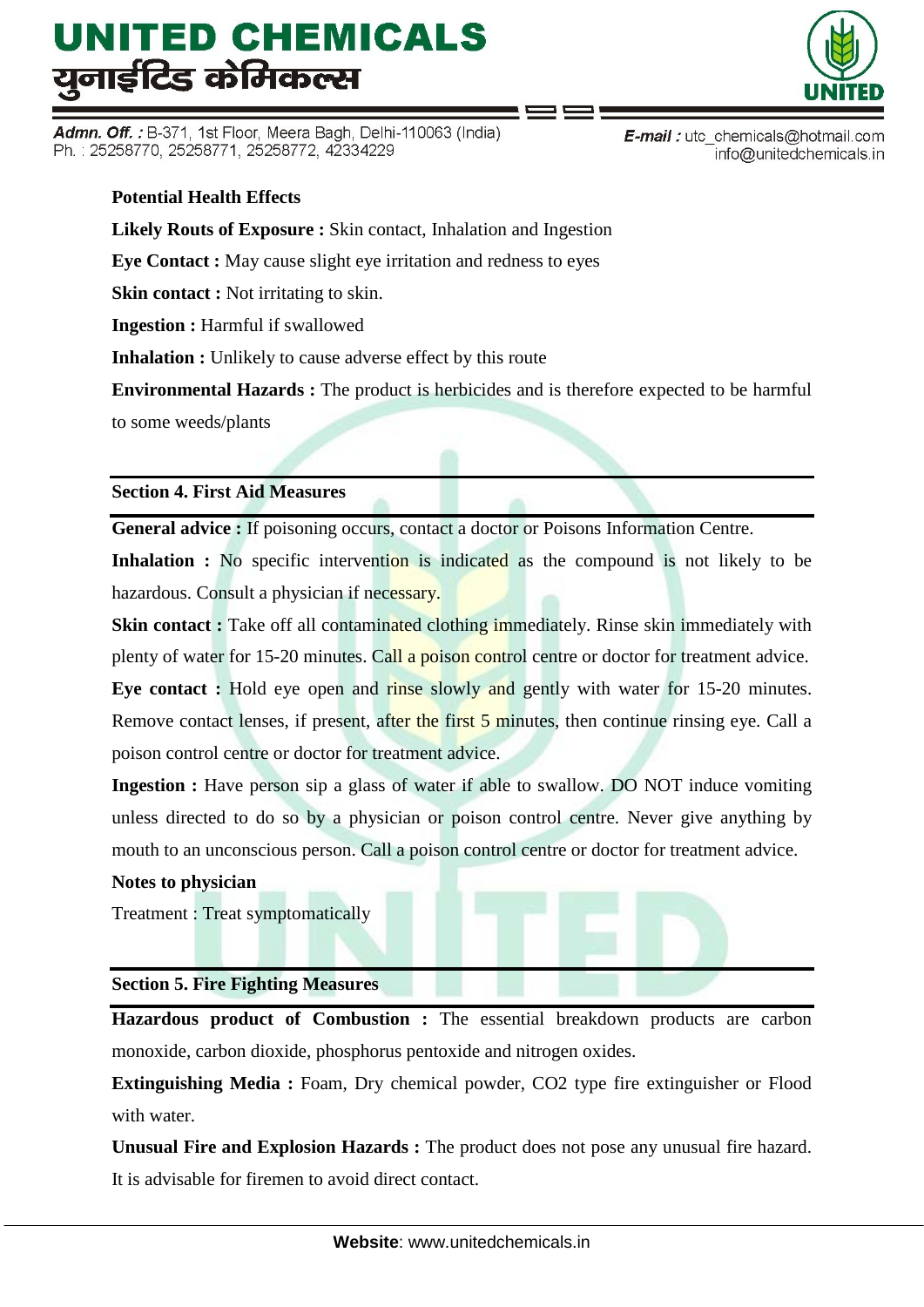Admn. Off.: B-371, 1st Floor, Meera Bagh, Delhi-110063 (India) Ph.: 25258770, 25258771, 25258772, 42334229

#### **Potential Health Effects**

**Likely Routs of Exposure :** Skin contact, Inhalation and Ingestion

**Eye Contact :** May cause slight eye irritation and redness to eyes

**Skin contact :** Not irritating to skin.

**Ingestion :** Harmful if swallowed

**Inhalation :** Unlikely to cause adverse effect by this route

**Environmental Hazards :** The product is herbicides and is therefore expected to be harmful

to some weeds/plants

#### **Section 4. First Aid Measures**

**General advice :** If poisoning occurs, contact a doctor or Poisons Information Centre.

Inhalation : No specific intervention is indicated as the compound is not likely to be hazardous. Consult a physician if necessary.

**Skin contact :** Take off all contaminated clothing immediately. Rinse skin immediately with plenty of water for 15-20 minutes. Call a poison control centre or doctor for treatment advice.

**Eye contact :** Hold eye open and rinse slowly and gently with water for 15-20 minutes. Remove contact lenses, if present, after the first 5 minutes, then continue rinsing eye. Call a poison control centre or doctor for treatment advice.

**Ingestion :** Have person sip a glass of water if able to swallow. DO NOT induce vomiting unless directed to do so by a physician or poison control centre. Never give anything by mouth to an unconscious person. Call a poison control centre or doctor for treatment advice.

#### **Notes to physician**

Treatment : Treat symptomatically

#### **Section 5. Fire Fighting Measures**

**Hazardous product of Combustion :** The essential breakdown products are carbon monoxide, carbon dioxide, phosphorus pentoxide and nitrogen oxides.

**Extinguishing Media :** Foam, Dry chemical powder, CO2 type fire extinguisher or Flood with water.

**Unusual Fire and Explosion Hazards :** The product does not pose any unusual fire hazard. It is advisable for firemen to avoid direct contact.



**E-mail**: utc chemicals@hotmail.com info@unitedchemicals.in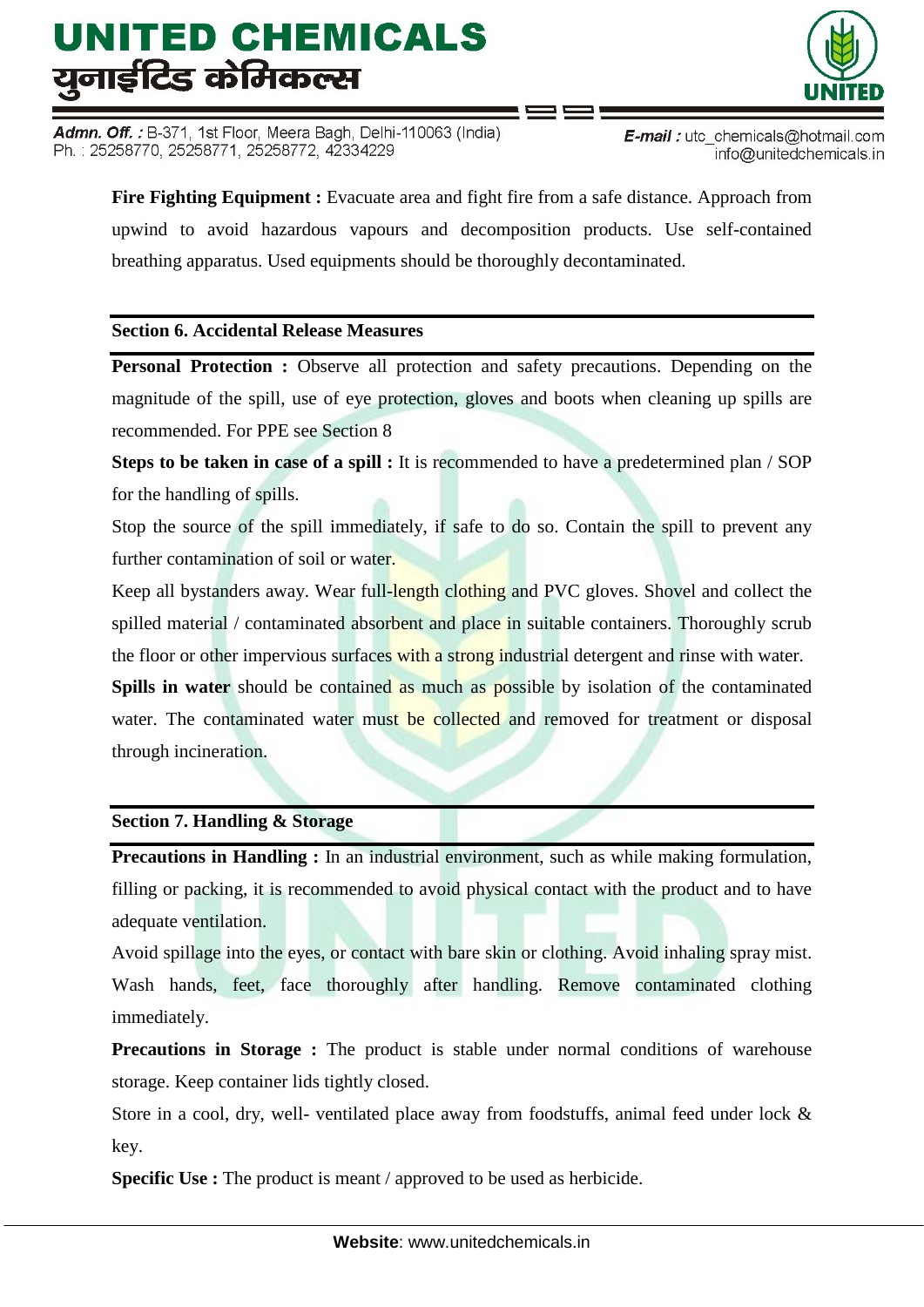Admn. Off.: B-371, 1st Floor, Meera Bagh, Delhi-110063 (India) Ph.: 25258770, 25258771, 25258772, 42334229



**E-mail**: utc chemicals@hotmail.com info@unitedchemicals.in

**Fire Fighting Equipment :** Evacuate area and fight fire from a safe distance. Approach from upwind to avoid hazardous vapours and decomposition products. Use self-contained breathing apparatus. Used equipments should be thoroughly decontaminated.

#### **Section 6. Accidental Release Measures**

**Personal Protection :** Observe all protection and safety precautions. Depending on the magnitude of the spill, use of eye protection, gloves and boots when cleaning up spills are recommended. For PPE see Section 8

**Steps to be taken in case of a spill :** It is recommended to have a predetermined plan / SOP for the handling of spills.

Stop the source of the spill immediately, if safe to do so. Contain the spill to prevent any further contamination of soil or water.

Keep all bystanders away. Wear full-length clothing and PVC gloves. Shovel and collect the spilled material / contaminated absorbent and place in suitable containers. Thoroughly scrub the floor or other impervious surfaces with a strong industrial detergent and rinse with water.

**Spills in water** should be contained as much as possible by isolation of the contaminated water. The contaminated water must be collected and removed for treatment or disposal through incineration.

#### **Section 7. Handling & Storage**

**Precautions in Handling :** In an industrial environment, such as while making formulation, filling or packing, it is recommended to avoid physical contact with the product and to have adequate ventilation.

Avoid spillage into the eyes, or contact with bare skin or clothing. Avoid inhaling spray mist. Wash hands, feet, face thoroughly after handling. Remove contaminated clothing immediately.

**Precautions in Storage:** The product is stable under normal conditions of warehouse storage. Keep container lids tightly closed.

Store in a cool, dry, well- ventilated place away from foodstuffs, animal feed under lock & key.

**Specific Use :** The product is meant / approved to be used as herbicide.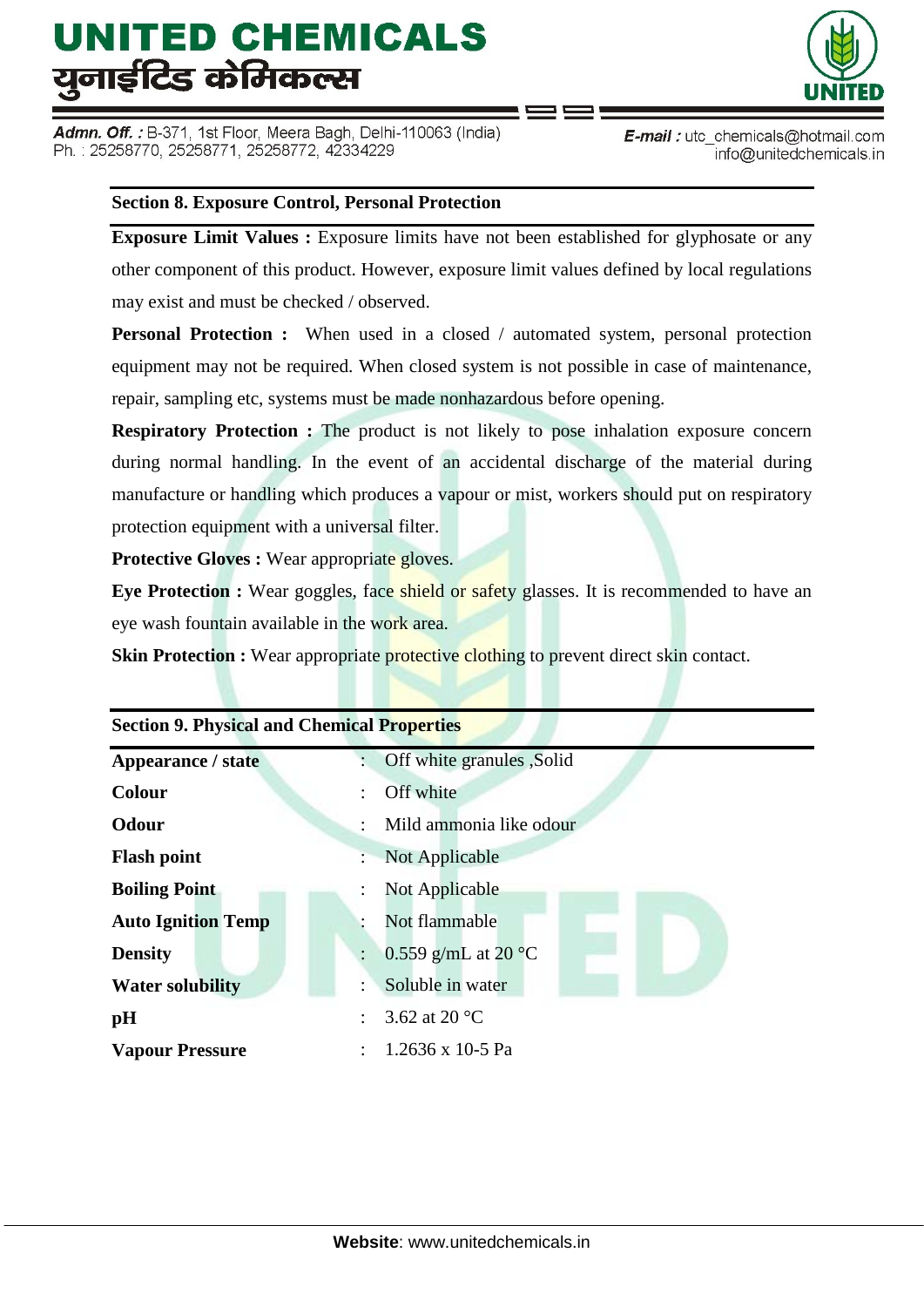Admn. Off. : B-371, 1st Floor, Meera Bagh, Delhi-110063 (India) Ph.: 25258770, 25258771, 25258772, 42334229



E-mail: utc chemicals@hotmail.com info@unitedchemicals.in

#### **Section 8. Exposure Control, Personal Protection**

**Exposure Limit Values :** Exposure limits have not been established for glyphosate or any other component of this product. However, exposure limit values defined by local regulations may exist and must be checked / observed.

**Personal Protection :** When used in a closed / automated system, personal protection equipment may not be required. When closed system is not possible in case of maintenance, repair, sampling etc, systems must be made nonhazardous before opening.

**Respiratory Protection :** The product is not likely to pose inhalation exposure concern during normal handling. In the event of an accidental discharge of the material during manufacture or handling which produces a vapour or mist, workers should put on respiratory protection equipment with a universal filter.

**Protective Gloves :** Wear appropriate gloves.

**Eye Protection :** Wear goggles, face shield or safety glasses. It is recommended to have an eye wash fountain available in the work area.

**Skin Protection :** Wear appropriate protective clothing to prevent direct skin contact.

| <b>Section 9. Physical and Chemical Properties</b> |                                 |  |  |  |
|----------------------------------------------------|---------------------------------|--|--|--|
| Appearance / state                                 | Off white granules , Solid      |  |  |  |
| <b>Colour</b>                                      | Off white                       |  |  |  |
| <b>Odour</b>                                       | Mild ammonia like odour         |  |  |  |
| <b>Flash point</b>                                 | Not Applicable                  |  |  |  |
| <b>Boiling Point</b>                               | Not Applicable                  |  |  |  |
| <b>Auto Ignition Temp</b>                          | Not flammable                   |  |  |  |
| <b>Density</b>                                     | 0.559 g/mL at 20 $^{\circ}$ C   |  |  |  |
| <b>Water solubility</b>                            | Soluble in water                |  |  |  |
| pH                                                 | 3.62 at 20 $\mathrm{^{\circ}C}$ |  |  |  |
| <b>Vapour Pressure</b>                             | 1.2636 x 10-5 Pa                |  |  |  |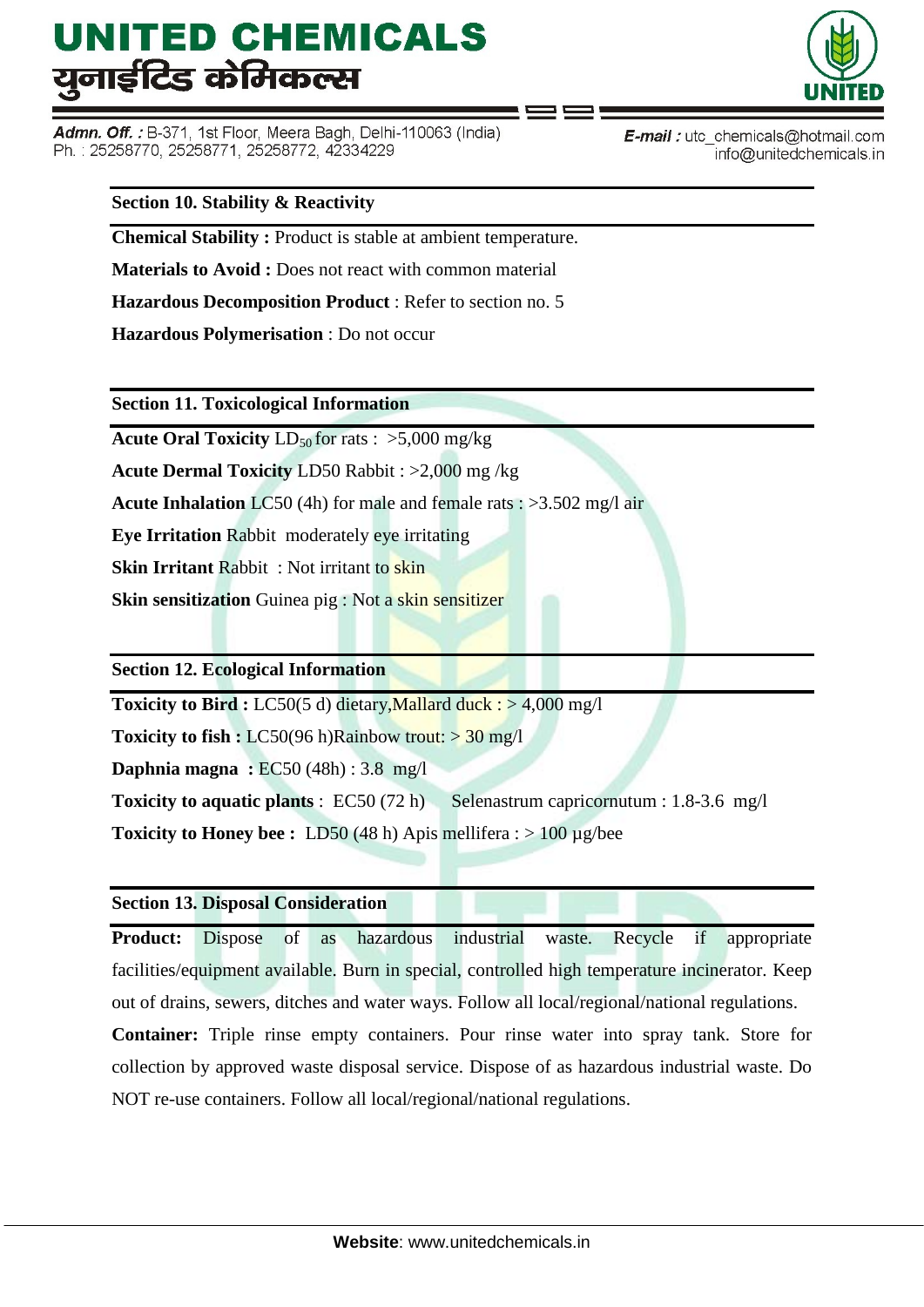Admn. Off.: B-371, 1st Floor, Meera Bagh, Delhi-110063 (India) Ph.: 25258770, 25258771, 25258772, 42334229



**E-mail**: utc chemicals@hotmail.com info@unitedchemicals.in

#### **Section 10. Stability & Reactivity**

**Chemical Stability :** Product is stable at ambient temperature.

**Materials to Avoid :** Does not react with common material

**Hazardous Decomposition Product** : Refer to section no. 5

**Hazardous Polymerisation** : Do not occur

**Section 11. Toxicological Information**

**Acute Oral Toxicity**  $LD_{50}$  for rats :  $>5,000$  mg/kg

**Acute Dermal Toxicity** LD50 Rabbit : >2,000 mg /kg

**Acute Inhalation** LC50 (4h) for male and female rats : >3.502 mg/l air

**Eye Irritation** Rabbit moderately eye irritating

**Skin Irritant** Rabbit : Not irritant to skin

**Skin sensitization** Guinea pig : Not a skin sensitizer

**Section 12. Ecological Information**

**Toxicity to Bird :** LC50(5 d) dietary, Mallard duck : > 4,000 mg/l

**Toxicity to fish :** LC50(96 h)Rainbow trout:  $>$  30 mg/l

**Daphnia magna :** EC50 (48h) : 3.8 mg/l

**Toxicity to aquatic plants** : EC50 (72 h) Selenastrum capricornutum : 1.8-3.6 mg/l

**Toxicity to Honey bee :** LD50 (48 h) Apis mellifera :  $> 100 \mu$ g/bee

#### **Section 13. Disposal Consideration**

**Product:** Dispose of as hazardous industrial waste. Recycle if appropriate facilities/equipment available. Burn in special, controlled high temperature incinerator. Keep out of drains, sewers, ditches and water ways. Follow all local/regional/national regulations.

**Container:** Triple rinse empty containers. Pour rinse water into spray tank. Store for collection by approved waste disposal service. Dispose of as hazardous industrial waste. Do NOT re-use containers. Follow all local/regional/national regulations.